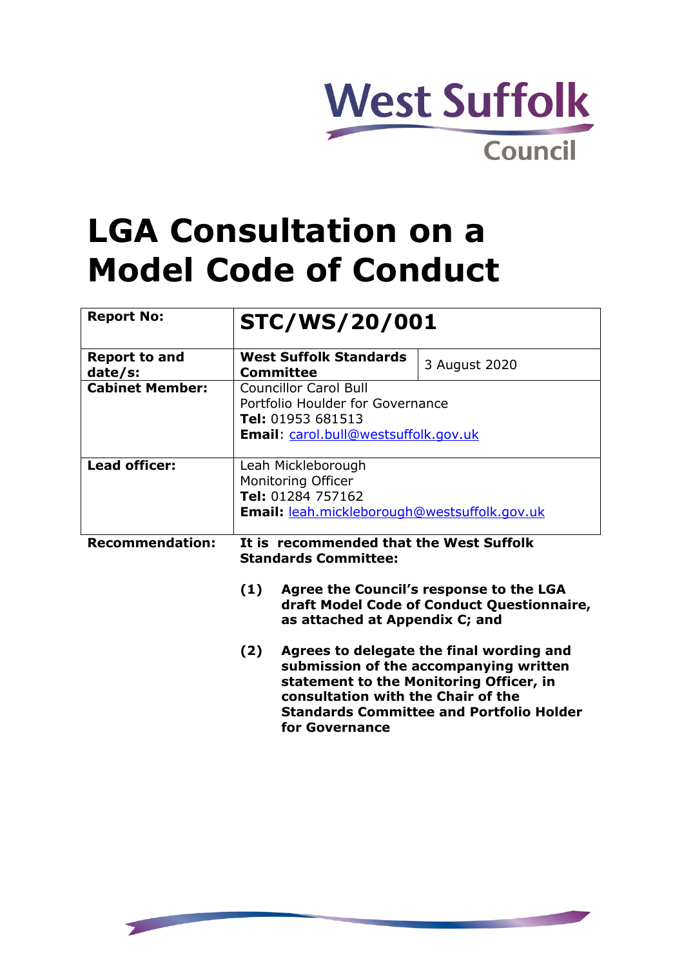

# **LGA Consultation on a Model Code of Conduct**

| <b>Report No:</b>               | <b>STC/WS/20/001</b>                                                                                                          |                                                                                                                                                                                  |
|---------------------------------|-------------------------------------------------------------------------------------------------------------------------------|----------------------------------------------------------------------------------------------------------------------------------------------------------------------------------|
| <b>Report to and</b><br>date/s: | <b>West Suffolk Standards</b><br><b>Committee</b>                                                                             | 3 August 2020                                                                                                                                                                    |
| <b>Cabinet Member:</b>          | <b>Councillor Carol Bull</b><br>Portfolio Houlder for Governance<br>Tel: 01953 681513<br>Email: carol.bull@westsuffolk.gov.uk |                                                                                                                                                                                  |
| <b>Lead officer:</b>            | Leah Mickleborough<br>Monitoring Officer<br>Tel: 01284 757162<br>Email: leah.mickleborough@westsuffolk.gov.uk                 |                                                                                                                                                                                  |
| <b>Recommendation:</b>          | It is recommended that the West Suffolk<br><b>Standards Committee:</b>                                                        |                                                                                                                                                                                  |
|                                 | (1)<br>as attached at Appendix C; and                                                                                         | Agree the Council's response to the LGA<br>draft Model Code of Conduct Questionnaire,                                                                                            |
|                                 | (2)<br>consultation with the Chair of the                                                                                     | Agrees to delegate the final wording and<br>submission of the accompanying written<br>statement to the Monitoring Officer, in<br><b>Standards Committee and Portfolio Holder</b> |

**for Governance**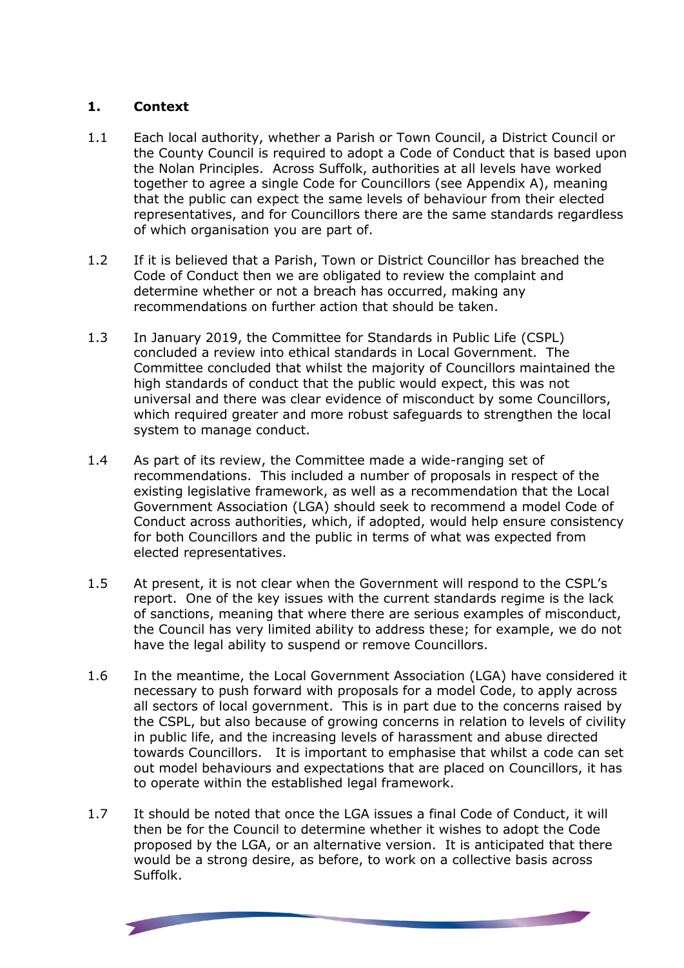### **1. Context**

- 1.1 Each local authority, whether a Parish or Town Council, a District Council or the County Council is required to adopt a Code of Conduct that is based upon the Nolan Principles. Across Suffolk, authorities at all levels have worked together to agree a single Code for Councillors (see Appendix A), meaning that the public can expect the same levels of behaviour from their elected representatives, and for Councillors there are the same standards regardless of which organisation you are part of.
- 1.2 If it is believed that a Parish, Town or District Councillor has breached the Code of Conduct then we are obligated to review the complaint and determine whether or not a breach has occurred, making any recommendations on further action that should be taken.
- 1.3 In January 2019, the Committee for Standards in Public Life (CSPL) concluded a review into ethical standards in Local Government. The Committee concluded that whilst the majority of Councillors maintained the high standards of conduct that the public would expect, this was not universal and there was clear evidence of misconduct by some Councillors, which required greater and more robust safeguards to strengthen the local system to manage conduct.
- 1.4 As part of its review, the Committee made a wide-ranging set of recommendations. This included a number of proposals in respect of the existing legislative framework, as well as a recommendation that the Local Government Association (LGA) should seek to recommend a model Code of Conduct across authorities, which, if adopted, would help ensure consistency for both Councillors and the public in terms of what was expected from elected representatives.
- 1.5 At present, it is not clear when the Government will respond to the CSPL's report. One of the key issues with the current standards regime is the lack of sanctions, meaning that where there are serious examples of misconduct, the Council has very limited ability to address these; for example, we do not have the legal ability to suspend or remove Councillors.
- 1.6 In the meantime, the Local Government Association (LGA) have considered it necessary to push forward with proposals for a model Code, to apply across all sectors of local government. This is in part due to the concerns raised by the CSPL, but also because of growing concerns in relation to levels of civility in public life, and the increasing levels of harassment and abuse directed towards Councillors. It is important to emphasise that whilst a code can set out model behaviours and expectations that are placed on Councillors, it has to operate within the established legal framework.
- 1.7 It should be noted that once the LGA issues a final Code of Conduct, it will then be for the Council to determine whether it wishes to adopt the Code proposed by the LGA, or an alternative version. It is anticipated that there would be a strong desire, as before, to work on a collective basis across Suffolk.

**THE PERSONAL PRO**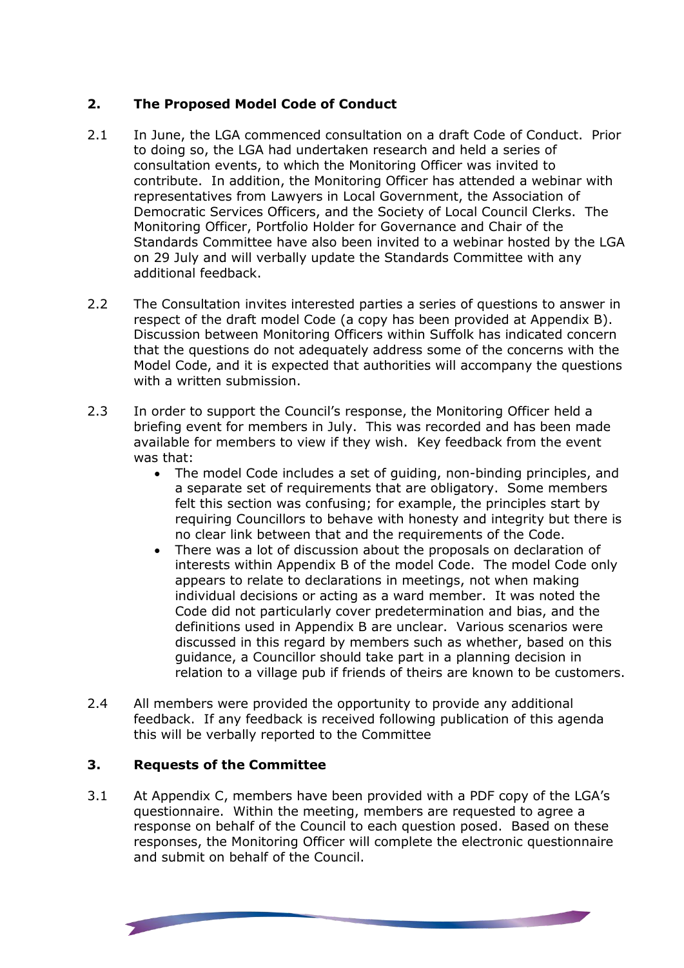## **2. The Proposed Model Code of Conduct**

- 2.1 In June, the LGA commenced consultation on a draft Code of Conduct. Prior to doing so, the LGA had undertaken research and held a series of consultation events, to which the Monitoring Officer was invited to contribute. In addition, the Monitoring Officer has attended a webinar with representatives from Lawyers in Local Government, the Association of Democratic Services Officers, and the Society of Local Council Clerks. The Monitoring Officer, Portfolio Holder for Governance and Chair of the Standards Committee have also been invited to a webinar hosted by the LGA on 29 July and will verbally update the Standards Committee with any additional feedback.
- 2.2 The Consultation invites interested parties a series of questions to answer in respect of the draft model Code (a copy has been provided at Appendix B). Discussion between Monitoring Officers within Suffolk has indicated concern that the questions do not adequately address some of the concerns with the Model Code, and it is expected that authorities will accompany the questions with a written submission.
- 2.3 In order to support the Council's response, the Monitoring Officer held a briefing event for members in July. This was recorded and has been made available for members to view if they wish. Key feedback from the event was that:
	- The model Code includes a set of guiding, non-binding principles, and a separate set of requirements that are obligatory. Some members felt this section was confusing; for example, the principles start by requiring Councillors to behave with honesty and integrity but there is no clear link between that and the requirements of the Code.
	- There was a lot of discussion about the proposals on declaration of interests within Appendix B of the model Code. The model Code only appears to relate to declarations in meetings, not when making individual decisions or acting as a ward member. It was noted the Code did not particularly cover predetermination and bias, and the definitions used in Appendix B are unclear. Various scenarios were discussed in this regard by members such as whether, based on this guidance, a Councillor should take part in a planning decision in relation to a village pub if friends of theirs are known to be customers.
- 2.4 All members were provided the opportunity to provide any additional feedback. If any feedback is received following publication of this agenda this will be verbally reported to the Committee

#### **3. Requests of the Committee**

3.1 At Appendix C, members have been provided with a PDF copy of the LGA's questionnaire. Within the meeting, members are requested to agree a response on behalf of the Council to each question posed. Based on these responses, the Monitoring Officer will complete the electronic questionnaire and submit on behalf of the Council.

**THE RESIDENT**